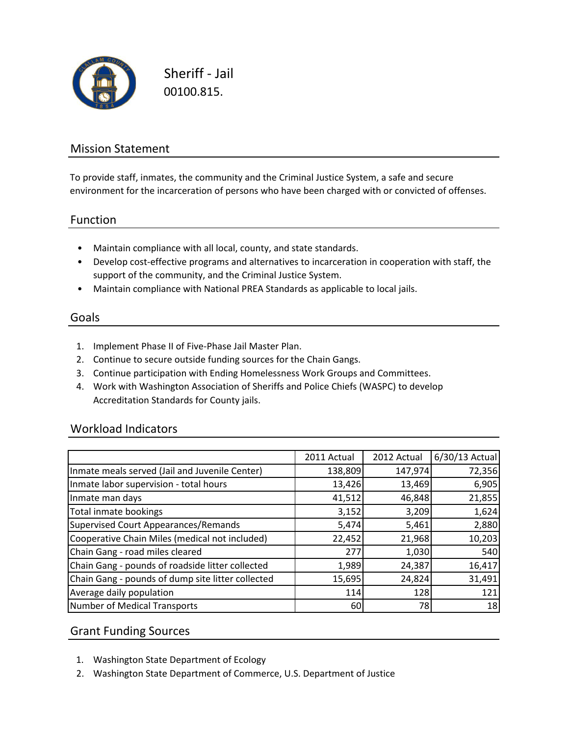

Sheriff - Jail 00100.815.

## Mission Statement

To provide staff, inmates, the community and the Criminal Justice System, a safe and secure environment for the incarceration of persons who have been charged with or convicted of offenses.

### Function

- Maintain compliance with all local, county, and state standards.
- Develop cost-effective programs and alternatives to incarceration in cooperation with staff, the support of the community, and the Criminal Justice System.
- Maintain compliance with National PREA Standards as applicable to local jails.

### Goals

- 1. Implement Phase II of Five-Phase Jail Master Plan.
- 2. Continue to secure outside funding sources for the Chain Gangs.
- 3. Continue participation with Ending Homelessness Work Groups and Committees.
- 4. Work with Washington Association of Sheriffs and Police Chiefs (WASPC) to develop Accreditation Standards for County jails.

### Workload Indicators

|                                                   | 2011 Actual | 2012 Actual | 6/30/13 Actual |
|---------------------------------------------------|-------------|-------------|----------------|
| Inmate meals served (Jail and Juvenile Center)    | 138,809     | 147,974     | 72,356         |
| Inmate labor supervision - total hours            | 13,426      | 13,469      | 6,905          |
| Inmate man days                                   | 41,512      | 46,848      | 21,855         |
| Total inmate bookings                             | 3,152       | 3,209       | 1,624          |
| Supervised Court Appearances/Remands              | 5,474       | 5,461       | 2,880          |
| Cooperative Chain Miles (medical not included)    | 22,452      | 21,968      | 10,203         |
| Chain Gang - road miles cleared                   | 277         | 1,030       | 540            |
| Chain Gang - pounds of roadside litter collected  | 1,989       | 24,387      | 16,417         |
| Chain Gang - pounds of dump site litter collected | 15,695      | 24,824      | 31,491         |
| Average daily population                          | 114         | 128         | 121            |
| Number of Medical Transports                      | 60          | 78          | 18             |

## Grant Funding Sources

- 1. Washington State Department of Ecology
- 2. Washington State Department of Commerce, U.S. Department of Justice